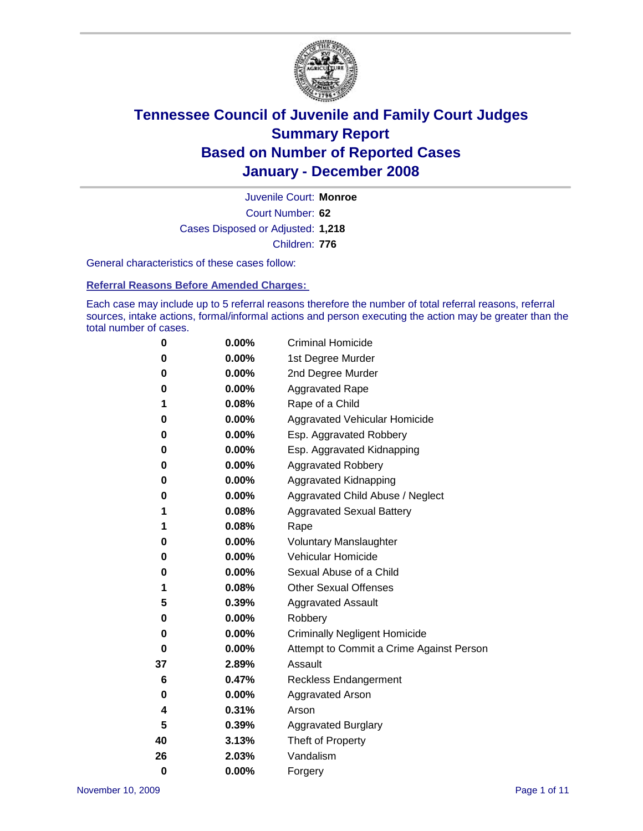

Court Number: **62** Juvenile Court: **Monroe** Cases Disposed or Adjusted: **1,218** Children: **776**

General characteristics of these cases follow:

**Referral Reasons Before Amended Charges:** 

Each case may include up to 5 referral reasons therefore the number of total referral reasons, referral sources, intake actions, formal/informal actions and person executing the action may be greater than the total number of cases.

| 0        | 0.00%    | <b>Criminal Homicide</b>                 |
|----------|----------|------------------------------------------|
| 0        | 0.00%    | 1st Degree Murder                        |
| 0        | 0.00%    | 2nd Degree Murder                        |
| 0        | 0.00%    | <b>Aggravated Rape</b>                   |
| 1        | 0.08%    | Rape of a Child                          |
| 0        | 0.00%    | Aggravated Vehicular Homicide            |
| 0        | 0.00%    | Esp. Aggravated Robbery                  |
| 0        | 0.00%    | Esp. Aggravated Kidnapping               |
| 0        | 0.00%    | <b>Aggravated Robbery</b>                |
| 0        | 0.00%    | Aggravated Kidnapping                    |
| 0        | 0.00%    | Aggravated Child Abuse / Neglect         |
| 1        | 0.08%    | <b>Aggravated Sexual Battery</b>         |
| 1        | 0.08%    | Rape                                     |
| 0        | 0.00%    | <b>Voluntary Manslaughter</b>            |
| 0        | 0.00%    | Vehicular Homicide                       |
| 0        | $0.00\%$ | Sexual Abuse of a Child                  |
| 1        | 0.08%    | <b>Other Sexual Offenses</b>             |
| 5        | 0.39%    | <b>Aggravated Assault</b>                |
| 0        | 0.00%    | Robbery                                  |
| 0        | $0.00\%$ | <b>Criminally Negligent Homicide</b>     |
| 0        | 0.00%    | Attempt to Commit a Crime Against Person |
| 37       | 2.89%    | Assault                                  |
| 6        | 0.47%    | <b>Reckless Endangerment</b>             |
| 0        | $0.00\%$ | <b>Aggravated Arson</b>                  |
| 4        | 0.31%    | Arson                                    |
| 5        | 0.39%    | <b>Aggravated Burglary</b>               |
| 40       | 3.13%    | Theft of Property                        |
| 26       | 2.03%    | Vandalism                                |
| $\bf{0}$ | 0.00%    | Forgery                                  |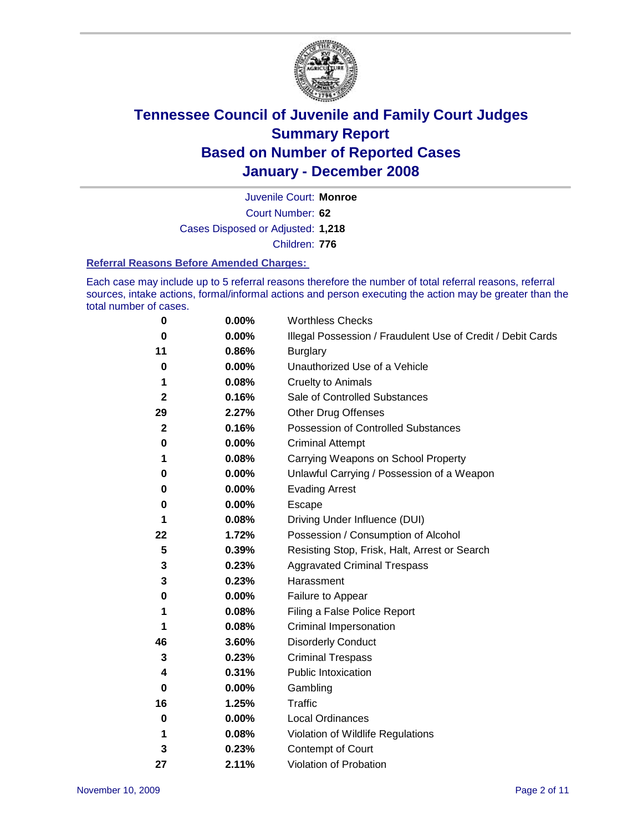

Court Number: **62** Juvenile Court: **Monroe** Cases Disposed or Adjusted: **1,218** Children: **776**

#### **Referral Reasons Before Amended Charges:**

Each case may include up to 5 referral reasons therefore the number of total referral reasons, referral sources, intake actions, formal/informal actions and person executing the action may be greater than the total number of cases.

| 0            | 0.00%    | <b>Worthless Checks</b>                                     |
|--------------|----------|-------------------------------------------------------------|
| 0            | 0.00%    | Illegal Possession / Fraudulent Use of Credit / Debit Cards |
| 11           | 0.86%    | <b>Burglary</b>                                             |
| 0            | $0.00\%$ | Unauthorized Use of a Vehicle                               |
| 1            | 0.08%    | <b>Cruelty to Animals</b>                                   |
| 2            | 0.16%    | Sale of Controlled Substances                               |
| 29           | 2.27%    | <b>Other Drug Offenses</b>                                  |
| $\mathbf{2}$ | 0.16%    | Possession of Controlled Substances                         |
| 0            | 0.00%    | <b>Criminal Attempt</b>                                     |
| 1            | 0.08%    | Carrying Weapons on School Property                         |
| 0            | 0.00%    | Unlawful Carrying / Possession of a Weapon                  |
| 0            | 0.00%    | <b>Evading Arrest</b>                                       |
| 0            | 0.00%    | Escape                                                      |
| 1            | 0.08%    | Driving Under Influence (DUI)                               |
| 22           | 1.72%    | Possession / Consumption of Alcohol                         |
| 5            | 0.39%    | Resisting Stop, Frisk, Halt, Arrest or Search               |
| 3            | 0.23%    | <b>Aggravated Criminal Trespass</b>                         |
| 3            | 0.23%    | Harassment                                                  |
| 0            | 0.00%    | Failure to Appear                                           |
| 1            | 0.08%    | Filing a False Police Report                                |
| 1            | 0.08%    | Criminal Impersonation                                      |
| 46           | 3.60%    | <b>Disorderly Conduct</b>                                   |
| 3            | 0.23%    | <b>Criminal Trespass</b>                                    |
| 4            | 0.31%    | <b>Public Intoxication</b>                                  |
| 0            | 0.00%    | Gambling                                                    |
| 16           | 1.25%    | Traffic                                                     |
| 0            | 0.00%    | Local Ordinances                                            |
| 1            | 0.08%    | Violation of Wildlife Regulations                           |
| 3            | 0.23%    | Contempt of Court                                           |
| 27           | 2.11%    | Violation of Probation                                      |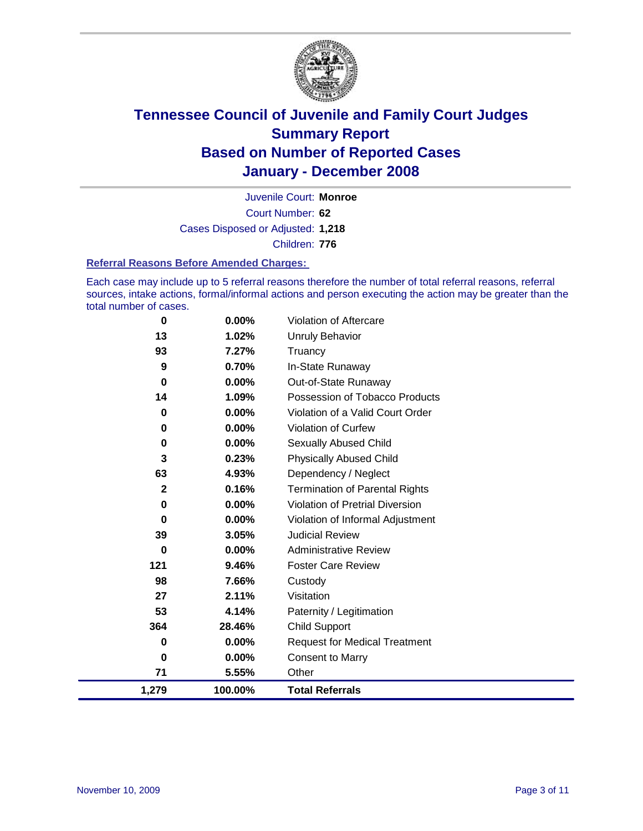

Court Number: **62** Juvenile Court: **Monroe** Cases Disposed or Adjusted: **1,218** Children: **776**

#### **Referral Reasons Before Amended Charges:**

Each case may include up to 5 referral reasons therefore the number of total referral reasons, referral sources, intake actions, formal/informal actions and person executing the action may be greater than the total number of cases.

| 0            | 0.00%   | Violation of Aftercare                 |
|--------------|---------|----------------------------------------|
| 13           | 1.02%   | <b>Unruly Behavior</b>                 |
| 93           | 7.27%   | Truancy                                |
| 9            | 0.70%   | In-State Runaway                       |
| $\mathbf 0$  | 0.00%   | Out-of-State Runaway                   |
| 14           | 1.09%   | Possession of Tobacco Products         |
| 0            | 0.00%   | Violation of a Valid Court Order       |
| $\bf{0}$     | 0.00%   | Violation of Curfew                    |
| 0            | 0.00%   | <b>Sexually Abused Child</b>           |
| 3            | 0.23%   | <b>Physically Abused Child</b>         |
| 63           | 4.93%   | Dependency / Neglect                   |
| $\mathbf{2}$ | 0.16%   | <b>Termination of Parental Rights</b>  |
| 0            | 0.00%   | <b>Violation of Pretrial Diversion</b> |
| 0            | 0.00%   | Violation of Informal Adjustment       |
| 39           | 3.05%   | <b>Judicial Review</b>                 |
| 0            | 0.00%   | <b>Administrative Review</b>           |
| 121          | 9.46%   | <b>Foster Care Review</b>              |
| 98           | 7.66%   | Custody                                |
| 27           | 2.11%   | Visitation                             |
| 53           | 4.14%   | Paternity / Legitimation               |
| 364          | 28.46%  | <b>Child Support</b>                   |
| 0            | 0.00%   | <b>Request for Medical Treatment</b>   |
| 0            | 0.00%   | <b>Consent to Marry</b>                |
| 71           | 5.55%   | Other                                  |
| 1,279        | 100.00% | <b>Total Referrals</b>                 |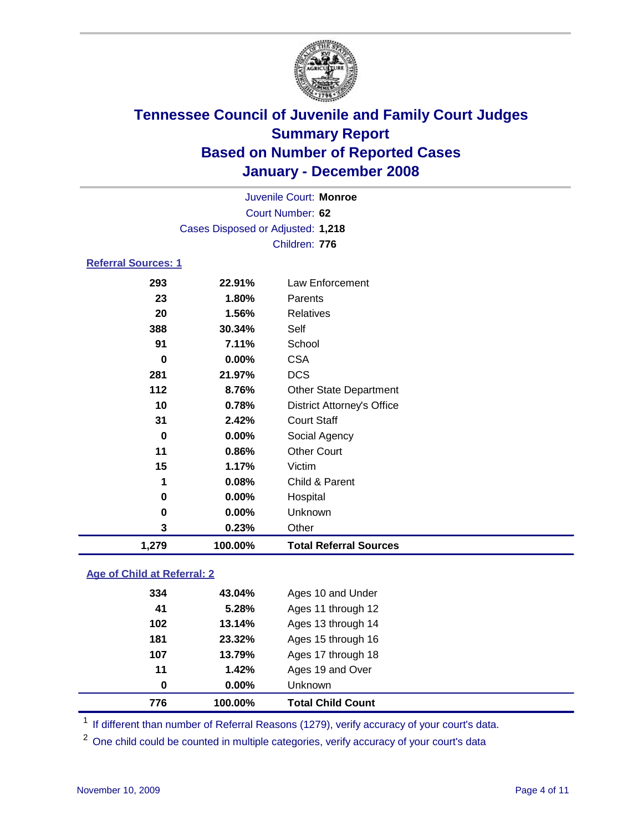

|                            |                                   | Juvenile Court: Monroe |
|----------------------------|-----------------------------------|------------------------|
|                            |                                   | Court Number: 62       |
|                            | Cases Disposed or Adjusted: 1,218 |                        |
|                            |                                   | Children: 776          |
| <b>Referral Sources: 1</b> |                                   |                        |
| 293                        | 22.91%                            | Law Enforcement        |
| 23                         | 1.80%                             | Parents                |
| 20                         | 1.56%                             | <b>Relatives</b>       |
| 388                        | 30.34%                            | Self                   |
| 91                         | 7.11%                             | School                 |
| 0                          | $0.00\%$                          | <b>CSA</b>             |
| 281                        | 21.97%                            | <b>DCS</b>             |
| 112                        | 876%                              | Other State Denartment |

| 1,279    | 100.00% | <b>Total Referral Sources</b>     |
|----------|---------|-----------------------------------|
| 3        | 0.23%   | Other                             |
| 0        | 0.00%   | Unknown                           |
| 0        | 0.00%   | Hospital                          |
| 1        | 0.08%   | Child & Parent                    |
| 15       | 1.17%   | Victim                            |
| 11       | 0.86%   | <b>Other Court</b>                |
| 0        | 0.00%   | Social Agency                     |
| 31       | 2.42%   | <b>Court Staff</b>                |
| 10       | 0.78%   | <b>District Attorney's Office</b> |
| 112      | 8.76%   | <b>Other State Department</b>     |
| 281      | 21.97%  | <b>DCS</b>                        |
| $\bf{0}$ | 0.00%   | <b>CSA</b>                        |
| 91       | 7.11%   | School                            |
| 388      | 30.34%  | Self                              |
| ∼∽       | vv,v    | 1 1 0 1 0 1 1 1 0 0 0             |

### **Age of Child at Referral: 2**

| 776 | 100.00%  | <b>Total Child Count</b> |  |
|-----|----------|--------------------------|--|
| 0   | $0.00\%$ | Unknown                  |  |
| 11  | 1.42%    | Ages 19 and Over         |  |
| 107 | 13.79%   | Ages 17 through 18       |  |
| 181 | 23.32%   | Ages 15 through 16       |  |
| 102 | 13.14%   | Ages 13 through 14       |  |
| 41  | 5.28%    | Ages 11 through 12       |  |
| 334 | 43.04%   | Ages 10 and Under        |  |
|     |          |                          |  |

<sup>1</sup> If different than number of Referral Reasons (1279), verify accuracy of your court's data.

<sup>2</sup> One child could be counted in multiple categories, verify accuracy of your court's data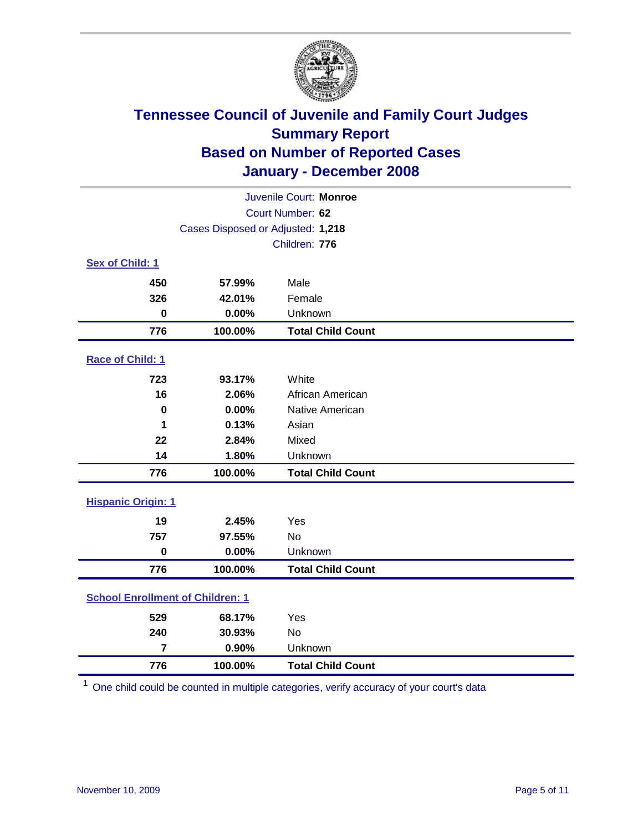

|                                         |                                   | Juvenile Court: Monroe   |
|-----------------------------------------|-----------------------------------|--------------------------|
|                                         |                                   | Court Number: 62         |
|                                         | Cases Disposed or Adjusted: 1,218 |                          |
|                                         |                                   | Children: 776            |
| Sex of Child: 1                         |                                   |                          |
| 450                                     | 57.99%                            | Male                     |
| 326                                     | 42.01%                            | Female                   |
| $\mathbf 0$                             | 0.00%                             | Unknown                  |
| 776                                     | 100.00%                           | <b>Total Child Count</b> |
| Race of Child: 1                        |                                   |                          |
| 723                                     | 93.17%                            | White                    |
| 16                                      | 2.06%                             | African American         |
| $\bf{0}$                                | 0.00%                             | Native American          |
| 1                                       | 0.13%                             | Asian                    |
| 22                                      | 2.84%                             | Mixed                    |
| 14                                      | 1.80%                             | Unknown                  |
| 776                                     | 100.00%                           | <b>Total Child Count</b> |
| <b>Hispanic Origin: 1</b>               |                                   |                          |
| 19                                      | 2.45%                             | Yes                      |
| 757                                     | 97.55%                            | No                       |
| $\bf{0}$                                | 0.00%                             | Unknown                  |
| 776                                     | 100.00%                           | <b>Total Child Count</b> |
| <b>School Enrollment of Children: 1</b> |                                   |                          |
| 529                                     | 68.17%                            | Yes                      |
| 240                                     | 30.93%                            | <b>No</b>                |
| $\overline{7}$                          | 0.90%                             | Unknown                  |
| 776                                     | 100.00%                           | <b>Total Child Count</b> |

One child could be counted in multiple categories, verify accuracy of your court's data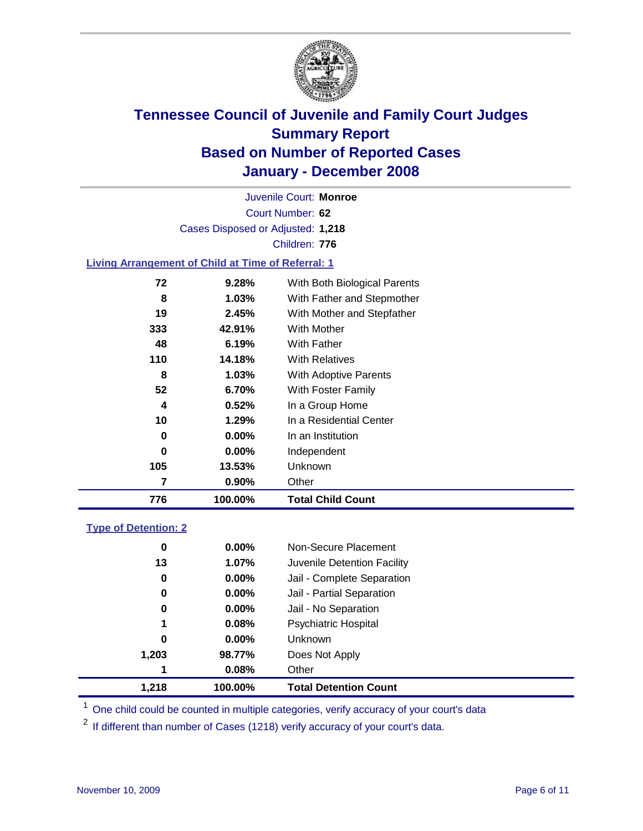

Court Number: **62** Juvenile Court: **Monroe** Cases Disposed or Adjusted: **1,218** Children: **776**

#### **Living Arrangement of Child at Time of Referral: 1**

| 776 | 100.00%  | <b>Total Child Count</b>     |
|-----|----------|------------------------------|
| 7   | 0.90%    | Other                        |
| 105 | 13.53%   | Unknown                      |
| 0   | $0.00\%$ | Independent                  |
| 0   | $0.00\%$ | In an Institution            |
| 10  | 1.29%    | In a Residential Center      |
| 4   | 0.52%    | In a Group Home              |
| 52  | 6.70%    | With Foster Family           |
| 8   | 1.03%    | <b>With Adoptive Parents</b> |
| 110 | 14.18%   | <b>With Relatives</b>        |
| 48  | 6.19%    | <b>With Father</b>           |
| 333 | 42.91%   | <b>With Mother</b>           |
| 19  | 2.45%    | With Mother and Stepfather   |
| 8   | $1.03\%$ | With Father and Stepmother   |
| 72  | 9.28%    | With Both Biological Parents |
|     |          |                              |

#### **Type of Detention: 2**

| 1.218 | 100.00%  | <b>Total Detention Count</b> |  |
|-------|----------|------------------------------|--|
| 1     | 0.08%    | Other                        |  |
| 1,203 | 98.77%   | Does Not Apply               |  |
| 0     | $0.00\%$ | <b>Unknown</b>               |  |
| 1     | 0.08%    | <b>Psychiatric Hospital</b>  |  |
| 0     | 0.00%    | Jail - No Separation         |  |
| 0     | $0.00\%$ | Jail - Partial Separation    |  |
| 0     | $0.00\%$ | Jail - Complete Separation   |  |
| 13    | 1.07%    | Juvenile Detention Facility  |  |
| 0     | $0.00\%$ | Non-Secure Placement         |  |
|       |          |                              |  |

<sup>1</sup> One child could be counted in multiple categories, verify accuracy of your court's data

<sup>2</sup> If different than number of Cases (1218) verify accuracy of your court's data.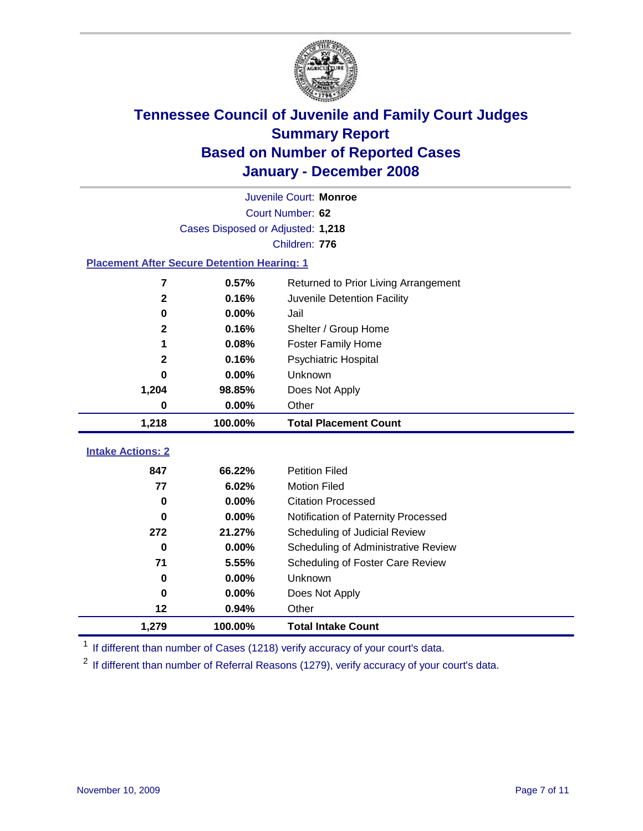

|                                                    |                                   | Juvenile Court: Monroe               |
|----------------------------------------------------|-----------------------------------|--------------------------------------|
|                                                    |                                   | Court Number: 62                     |
|                                                    | Cases Disposed or Adjusted: 1,218 |                                      |
|                                                    |                                   | Children: 776                        |
| <b>Placement After Secure Detention Hearing: 1</b> |                                   |                                      |
| 7                                                  | 0.57%                             | Returned to Prior Living Arrangement |
| $\mathbf{2}$                                       | 0.16%                             | Juvenile Detention Facility          |
| $\bf{0}$                                           | 0.00%                             | Jail                                 |
| $\mathbf 2$                                        | 0.16%                             | Shelter / Group Home                 |
| 1                                                  | 0.08%                             | <b>Foster Family Home</b>            |
| $\mathbf{2}$                                       | 0.16%                             | <b>Psychiatric Hospital</b>          |
| 0                                                  | 0.00%                             | Unknown                              |
| 1,204                                              | 98.85%                            | Does Not Apply                       |
| 0                                                  | 0.00%                             | Other                                |
| 1,218                                              | 100.00%                           | <b>Total Placement Count</b>         |
|                                                    |                                   |                                      |
| <b>Intake Actions: 2</b>                           |                                   |                                      |
| 847                                                | 66.22%                            | <b>Petition Filed</b>                |
| 77                                                 | 6.02%                             | <b>Motion Filed</b>                  |
| $\bf{0}$                                           | 0.00%                             | <b>Citation Processed</b>            |
| 0                                                  | 0.00%                             | Notification of Paternity Processed  |
| 272                                                | 21.27%                            | Scheduling of Judicial Review        |
| $\bf{0}$                                           | 0.00%                             | Scheduling of Administrative Review  |
| 71                                                 | 5.55%                             | Scheduling of Foster Care Review     |
| 0                                                  | 0.00%                             | Unknown                              |
| $\bf{0}$                                           | 0.00%                             | Does Not Apply                       |
| 12                                                 | 0.94%                             | Other                                |
| 1,279                                              | 100.00%                           | <b>Total Intake Count</b>            |

<sup>1</sup> If different than number of Cases (1218) verify accuracy of your court's data.

<sup>2</sup> If different than number of Referral Reasons (1279), verify accuracy of your court's data.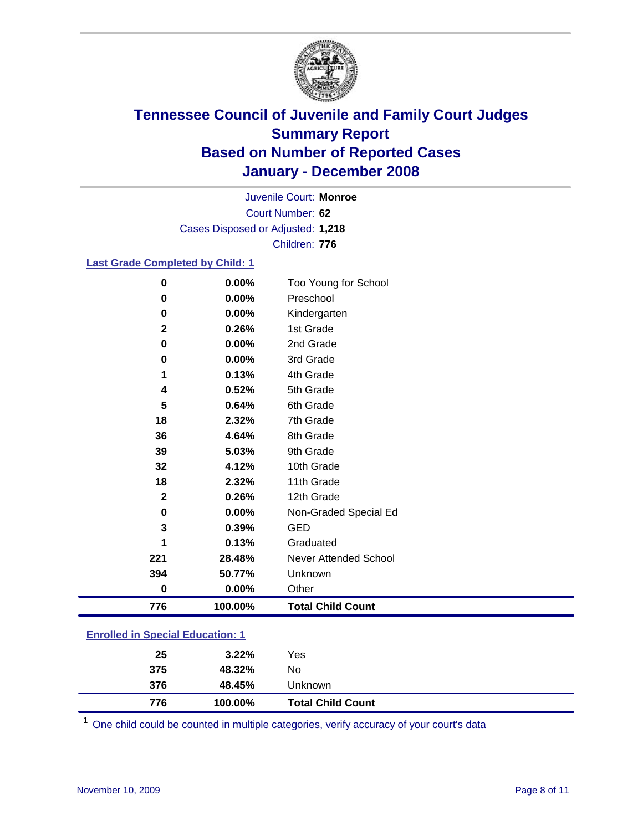

Court Number: **62** Juvenile Court: **Monroe** Cases Disposed or Adjusted: **1,218** Children: **776**

#### **Last Grade Completed by Child: 1**

| 776          | 100.00% | <b>Total Child Count</b> |
|--------------|---------|--------------------------|
| $\bf{0}$     | 0.00%   | Other                    |
| 394          | 50.77%  | Unknown                  |
| 221          | 28.48%  | Never Attended School    |
| 1            | 0.13%   | Graduated                |
| 3            | 0.39%   | <b>GED</b>               |
| 0            | 0.00%   | Non-Graded Special Ed    |
| $\mathbf{2}$ | 0.26%   | 12th Grade               |
| 18           | 2.32%   | 11th Grade               |
| 32           | 4.12%   | 10th Grade               |
| 39           | 5.03%   | 9th Grade                |
| 36           | 4.64%   | 8th Grade                |
| 18           | 2.32%   | 7th Grade                |
| 5            | 0.64%   | 6th Grade                |
| 4            | 0.52%   | 5th Grade                |
| 1            | 0.13%   | 4th Grade                |
| 0            | 0.00%   | 3rd Grade                |
| 0            | 0.00%   | 2nd Grade                |
| $\mathbf 2$  | 0.26%   | 1st Grade                |
| 0            | 0.00%   | Kindergarten             |
| 0            | 0.00%   | Preschool                |
| 0            | 0.00%   | Too Young for School     |

### **Enrolled in Special Education: 1**

| 376<br>48.45%<br>Unknown |
|--------------------------|
| 375<br>48.32%<br>No      |
| 25<br>Yes<br>$3.22\%$    |

One child could be counted in multiple categories, verify accuracy of your court's data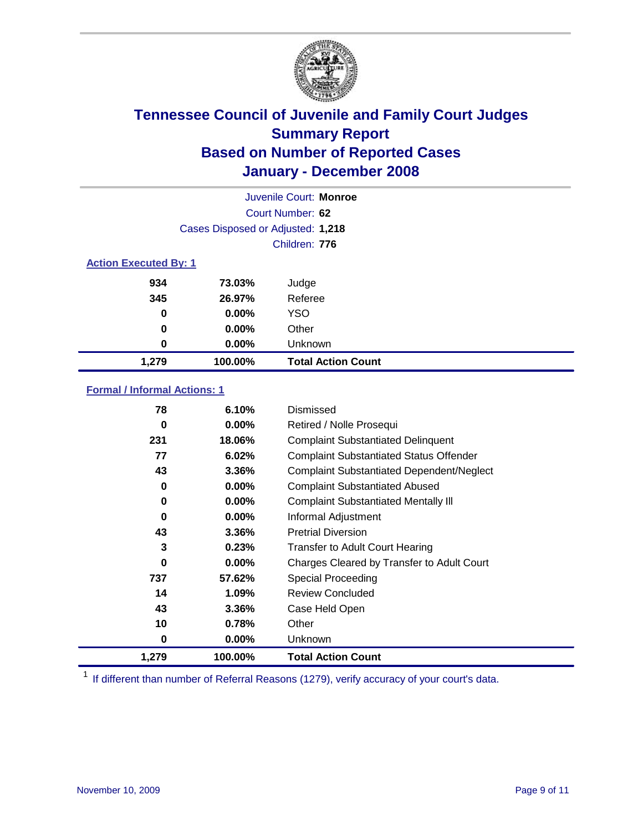

|                              |                                   | Juvenile Court: Monroe    |  |
|------------------------------|-----------------------------------|---------------------------|--|
|                              | Court Number: 62                  |                           |  |
|                              | Cases Disposed or Adjusted: 1,218 |                           |  |
|                              |                                   | Children: 776             |  |
| <b>Action Executed By: 1</b> |                                   |                           |  |
| 934                          | 73.03%                            | Judge                     |  |
| 345                          | 26.97%                            | Referee                   |  |
| $\bf{0}$                     | $0.00\%$                          | <b>YSO</b>                |  |
| $\bf{0}$                     | $0.00\%$                          | Other                     |  |
| 0                            | $0.00\%$                          | Unknown                   |  |
| 1,279                        | 100.00%                           | <b>Total Action Count</b> |  |

### **Formal / Informal Actions: 1**

| 78    | 6.10%    | Dismissed                                        |
|-------|----------|--------------------------------------------------|
| 0     | $0.00\%$ | Retired / Nolle Prosequi                         |
| 231   | 18.06%   | <b>Complaint Substantiated Delinquent</b>        |
| 77    | 6.02%    | <b>Complaint Substantiated Status Offender</b>   |
| 43    | 3.36%    | <b>Complaint Substantiated Dependent/Neglect</b> |
| 0     | 0.00%    | <b>Complaint Substantiated Abused</b>            |
| 0     | $0.00\%$ | <b>Complaint Substantiated Mentally III</b>      |
| 0     | $0.00\%$ | Informal Adjustment                              |
| 43    | 3.36%    | <b>Pretrial Diversion</b>                        |
| 3     | 0.23%    | <b>Transfer to Adult Court Hearing</b>           |
| 0     | $0.00\%$ | Charges Cleared by Transfer to Adult Court       |
| 737   | 57.62%   | Special Proceeding                               |
| 14    | 1.09%    | <b>Review Concluded</b>                          |
| 43    | 3.36%    | Case Held Open                                   |
| 10    | 0.78%    | Other                                            |
| 0     | $0.00\%$ | <b>Unknown</b>                                   |
| 1,279 | 100.00%  | <b>Total Action Count</b>                        |

<sup>1</sup> If different than number of Referral Reasons (1279), verify accuracy of your court's data.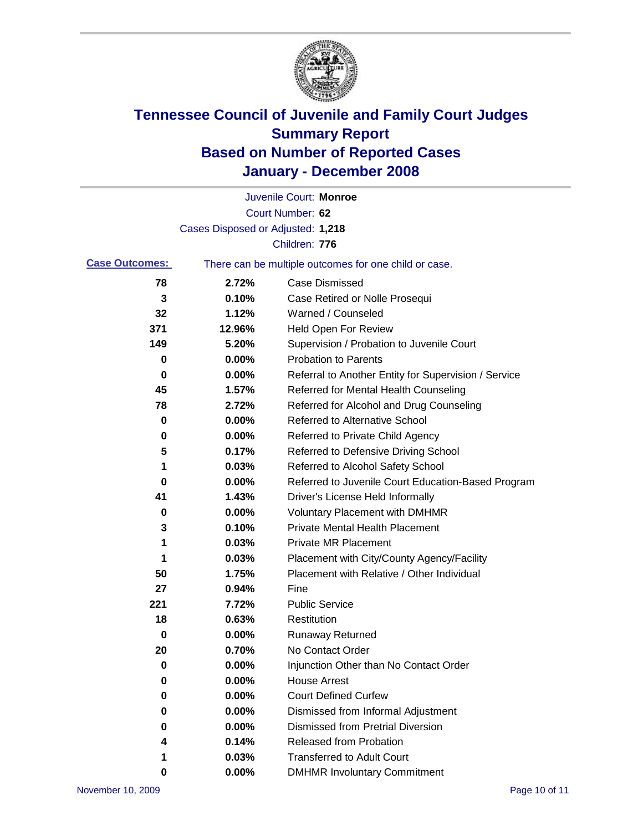

|                       |                                   | Juvenile Court: Monroe                                |
|-----------------------|-----------------------------------|-------------------------------------------------------|
|                       |                                   | Court Number: 62                                      |
|                       | Cases Disposed or Adjusted: 1,218 |                                                       |
|                       |                                   | Children: 776                                         |
| <b>Case Outcomes:</b> |                                   | There can be multiple outcomes for one child or case. |
| 78                    | 2.72%                             | <b>Case Dismissed</b>                                 |
| 3                     | 0.10%                             | Case Retired or Nolle Prosequi                        |
| 32                    | 1.12%                             | Warned / Counseled                                    |
| 371                   | 12.96%                            | <b>Held Open For Review</b>                           |
| 149                   | 5.20%                             | Supervision / Probation to Juvenile Court             |
| 0                     | 0.00%                             | <b>Probation to Parents</b>                           |
| 0                     | 0.00%                             | Referral to Another Entity for Supervision / Service  |
| 45                    | 1.57%                             | Referred for Mental Health Counseling                 |
| 78                    | 2.72%                             | Referred for Alcohol and Drug Counseling              |
| 0                     | 0.00%                             | <b>Referred to Alternative School</b>                 |
| 0                     | 0.00%                             | Referred to Private Child Agency                      |
| 5                     | 0.17%                             | Referred to Defensive Driving School                  |
| 1                     | 0.03%                             | Referred to Alcohol Safety School                     |
| 0                     | 0.00%                             | Referred to Juvenile Court Education-Based Program    |
| 41                    | 1.43%                             | Driver's License Held Informally                      |
| 0                     | 0.00%                             | <b>Voluntary Placement with DMHMR</b>                 |
| 3                     | 0.10%                             | <b>Private Mental Health Placement</b>                |
| 1                     | 0.03%                             | <b>Private MR Placement</b>                           |
| 1                     | 0.03%                             | Placement with City/County Agency/Facility            |
| 50                    | 1.75%                             | Placement with Relative / Other Individual            |
| 27                    | 0.94%                             | Fine                                                  |
| 221                   | 7.72%                             | <b>Public Service</b>                                 |
| 18                    | 0.63%                             | Restitution                                           |
| 0                     | 0.00%                             | <b>Runaway Returned</b>                               |
| 20                    | 0.70%                             | No Contact Order                                      |
| 0                     | $0.00\%$                          | Injunction Other than No Contact Order                |
| 0                     | 0.00%                             | <b>House Arrest</b>                                   |
| 0                     | 0.00%                             | <b>Court Defined Curfew</b>                           |
| 0                     | 0.00%                             | Dismissed from Informal Adjustment                    |
| 0                     | 0.00%                             | <b>Dismissed from Pretrial Diversion</b>              |
| 4                     | 0.14%                             | Released from Probation                               |
| 1                     | 0.03%                             | <b>Transferred to Adult Court</b>                     |
| 0                     | 0.00%                             | <b>DMHMR Involuntary Commitment</b>                   |